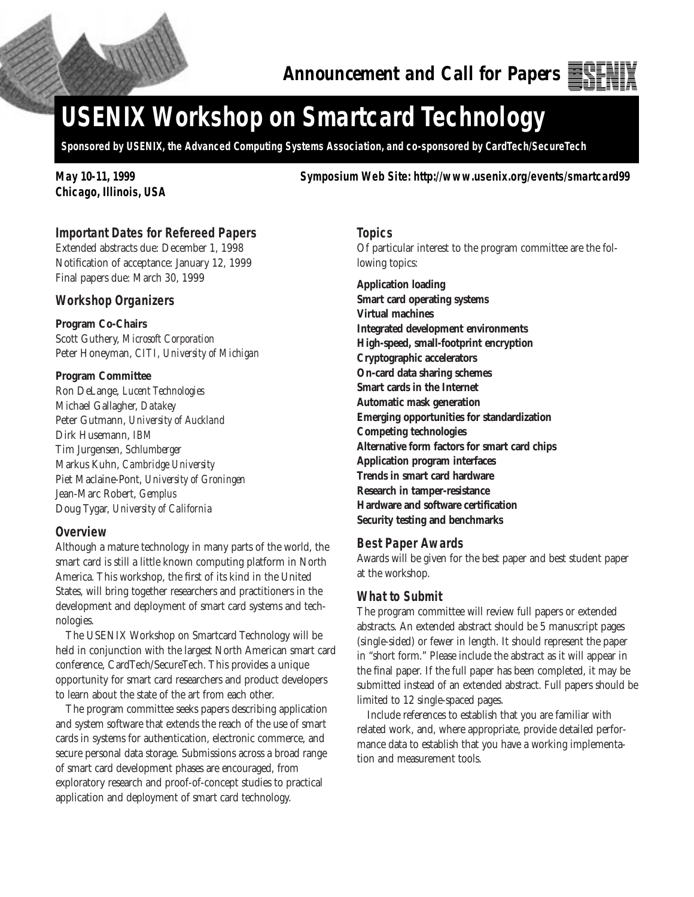

# **USENIX Workshop on Smartcard Technology**

**Sponsored by USENIX, the Advanced Computing Systems Association, and co-sponsored by CardTech/SecureTech**

**Chicago, Illinois, USA**

**May 10-11, 1999 Symposium Web Site: http://www.usenix.org/events/smartcard99**

## **Important Dates for Refereed Papers**

Extended abstracts due: December 1, 1998 Notification of acceptance: January 12, 1999 Final papers due: March 30, 1999

#### **Workshop Organizers**

## **Program Co-Chairs**

Scott Guthery, *Microsoft Corporation* Peter Honeyman, *CITI, University of Michigan*

#### **Program Committee**

Ron DeLange, *Lucent Technologies* Michael Gallagher, *Datakey* Peter Gutmann, *University of Auckland* Dirk Husemann, *IBM* Tim Jurgensen, *Schlumberger* Markus Kuhn, *Cambridge University* Piet Maclaine-Pont, *University of Groningen* Jean-Marc Robert, *Gemplus* Doug Tygar, *University of California*

## **Overview**

Although a mature technology in many parts of the world, the smart card is still a little known computing platform in North America. This workshop, the first of its kind in the United States, will bring together researchers and practitioners in the development and deployment of smart card systems and technologies.

The USENIX Workshop on Smartcard Technology will be held in conjunction with the largest North American smart card conference, CardTech/SecureTech. This provides a unique opportunity for smart card researchers and product developers to learn about the state of the art from each other.

The program committee seeks papers describing application and system software that extends the reach of the use of smart cards in systems for authentication, electronic commerce, and secure personal data storage. Submissions across a broad range of smart card development phases are encouraged, from exploratory research and proof-of-concept studies to practical application and deployment of smart card technology.

**Topics**

Of particular interest to the program committee are the following topics:

**Application loading Smart card operating systems Virtual machines Integrated development environments High-speed, small-footprint encryption Cryptographic accelerators On-card data sharing schemes Smart cards in the Internet Automatic mask generation Emerging opportunities for standardization Competing technologies Alternative form factors for smart card chips Application program interfaces Trends in smart card hardware Research in tamper-resistance Hardware and software certification Security testing and benchmarks**

#### **Best Paper Awards**

Awards will be given for the best paper and best student paper at the workshop.

#### **What to Submit**

The program committee will review full papers or extended abstracts. An extended abstract should be 5 manuscript pages (single-sided) or fewer in length. It should represent the paper in "short form." Please include the abstract as it will appear in the final paper. If the full paper has been completed, it may be submitted instead of an extended abstract. Full papers should be limited to 12 single-spaced pages.

Include references to establish that you are familiar with related work, and, where appropriate, provide detailed performance data to establish that you have a working implementation and measurement tools.